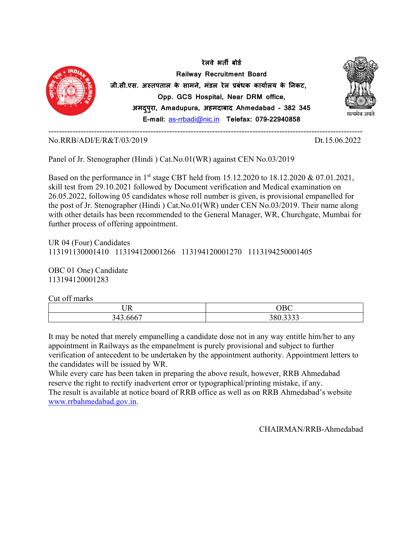

Panel of Jr. Stenographer (Hindi ) Cat.No.01(WR) against CEN No.03/2019

Based on the performance in 1<sup>st</sup> stage CBT held from 15.12.2020 to 18.12.2020 & 07.01.2021, skill test from 29.10.2021 followed by Document verification and Medical examination on 26.05.2022, following 05 candidates whose roll number is given, is provisional empanelled for the post of Jr. Stenographer (Hindi ) Cat.No.01(WR) under CEN No.03/2019. Their name along with other details has been recommended to the General Manager, WR, Churchgate, Mumbai for further process of offering appointment.

UR 04 (Four) Candidates 113191130001410 113194120001266 113194120001270 1113194250001405

OBC 01 One) Candidate 113194120001283

Cut off marks

| $\overline{R}$                         | $\cap$ R $\cap$              |
|----------------------------------------|------------------------------|
| $\cup$ 11                              | .                            |
| $\sim$ $\sim$ $\sim$<br>212<br>14<br>ັ | 200.2222<br>300.3 <i>333</i> |

It may be noted that merely empanelling a candidate dose not in any way entitle him/her to any appointment in Railways as the empanelment is purely provisional and subject to further verification of antecedent to be undertaken by the appointment authority. Appointment letters to the candidates will be issued by WR.

While every care has been taken in preparing the above result, however, RRB Ahmedabad reserve the right to rectify inadvertent error or typographical/printing mistake, if any. The result is available at notice board of RRB office as well as on RRB Ahmedabad's website www.rrbahmedabad.gov.in.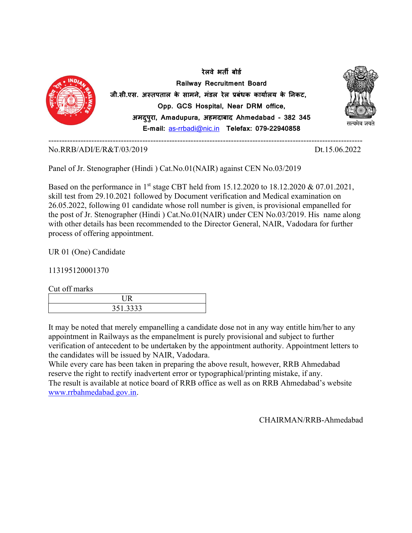

Panel of Jr. Stenographer (Hindi ) Cat.No.01(NAIR) against CEN No.03/2019

Based on the performance in 1<sup>st</sup> stage CBT held from 15.12.2020 to 18.12.2020 & 07.01.2021, skill test from 29.10.2021 followed by Document verification and Medical examination on 26.05.2022, following 01 candidate whose roll number is given, is provisional empanelled for the post of Jr. Stenographer (Hindi ) Cat.No.01(NAIR) under CEN No.03/2019. His name along with other details has been recommended to the Director General, NAIR, Vadodara for further process of offering appointment.

UR 01 (One) Candidate

113195120001370

Cut off marks

| 351.3333 |  |
|----------|--|

It may be noted that merely empanelling a candidate dose not in any way entitle him/her to any appointment in Railways as the empanelment is purely provisional and subject to further verification of antecedent to be undertaken by the appointment authority. Appointment letters to the candidates will be issued by NAIR, Vadodara.

While every care has been taken in preparing the above result, however, RRB Ahmedabad reserve the right to rectify inadvertent error or typographical/printing mistake, if any. The result is available at notice board of RRB office as well as on RRB Ahmedabad's website www.rrbahmedabad.gov.in.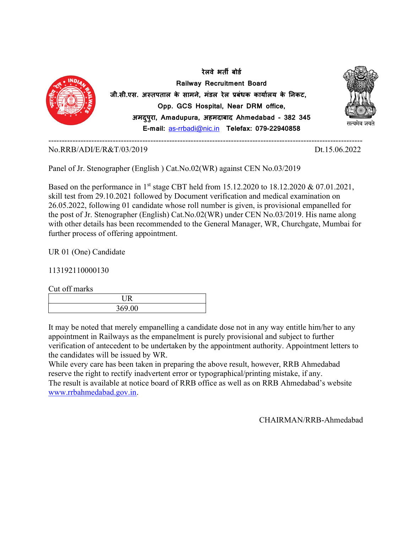

Panel of Jr. Stenographer (English ) Cat.No.02(WR) against CEN No.03/2019

Based on the performance in 1<sup>st</sup> stage CBT held from 15.12.2020 to 18.12.2020 & 07.01.2021, skill test from 29.10.2021 followed by Document verification and medical examination on 26.05.2022, following 01 candidate whose roll number is given, is provisional empanelled for the post of Jr. Stenographer (English) Cat.No.02(WR) under CEN No.03/2019. His name along with other details has been recommended to the General Manager, WR, Churchgate, Mumbai for further process of offering appointment.

UR 01 (One) Candidate

113192110000130

Cut off marks

| 369.00 |
|--------|

It may be noted that merely empanelling a candidate dose not in any way entitle him/her to any appointment in Railways as the empanelment is purely provisional and subject to further verification of antecedent to be undertaken by the appointment authority. Appointment letters to the candidates will be issued by WR.

While every care has been taken in preparing the above result, however, RRB Ahmedabad reserve the right to rectify inadvertent error or typographical/printing mistake, if any. The result is available at notice board of RRB office as well as on RRB Ahmedabad's website www.rrbahmedabad.gov.in.